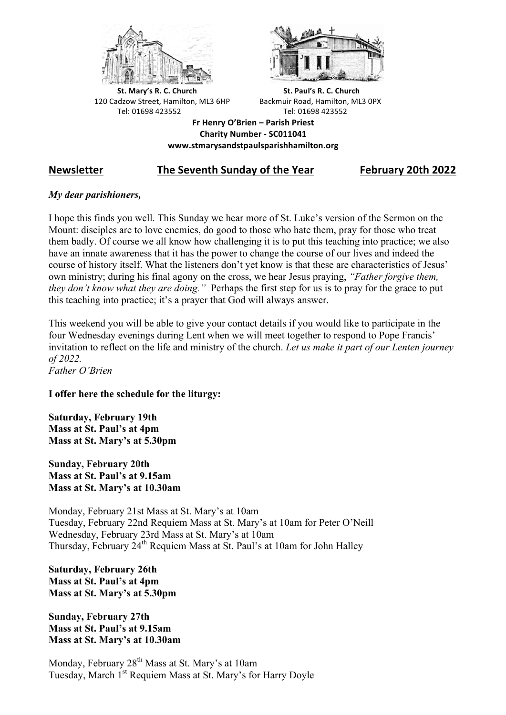



**St.** Mary's R. C. Church St. Paul's R. C. Church 120 Cadzow Street, Hamilton, ML3 6HP Backmuir Road, Hamilton, ML3 0PX Tel: 01698 423552 Tel: 01698 423552

**Fr Henry O'Brien – Parish Priest Charity Number - SC011041 www.stmarysandstpaulsparishhamilton.org**

# **Newsletter The Seventh Sunday of the Year February 20th 2022**

## *My dear parishioners,*

I hope this finds you well. This Sunday we hear more of St. Luke's version of the Sermon on the Mount: disciples are to love enemies, do good to those who hate them, pray for those who treat them badly. Of course we all know how challenging it is to put this teaching into practice; we also have an innate awareness that it has the power to change the course of our lives and indeed the course of history itself. What the listeners don't yet know is that these are characteristics of Jesus' own ministry; during his final agony on the cross, we hear Jesus praying, *"Father forgive them, they don't know what they are doing."* Perhaps the first step for us is to pray for the grace to put this teaching into practice; it's a prayer that God will always answer.

This weekend you will be able to give your contact details if you would like to participate in the four Wednesday evenings during Lent when we will meet together to respond to Pope Francis' invitation to reflect on the life and ministry of the church. *Let us make it part of our Lenten journey of 2022. Father O'Brien*

## **I offer here the schedule for the liturgy:**

**Saturday, February 19th Mass at St. Paul's at 4pm Mass at St. Mary's at 5.30pm**

**Sunday, February 20th Mass at St. Paul's at 9.15am Mass at St. Mary's at 10.30am**

Monday, February 21st Mass at St. Mary's at 10am Tuesday, February 22nd Requiem Mass at St. Mary's at 10am for Peter O'Neill Wednesday, February 23rd Mass at St. Mary's at 10am Thursday, February 24<sup>th</sup> Requiem Mass at St. Paul's at 10am for John Halley

**Saturday, February 26th Mass at St. Paul's at 4pm Mass at St. Mary's at 5.30pm**

**Sunday, February 27th Mass at St. Paul's at 9.15am Mass at St. Mary's at 10.30am**

Monday, February 28<sup>th</sup> Mass at St. Mary's at 10am Tuesday, March 1<sup>st</sup> Requiem Mass at St. Mary's for Harry Doyle